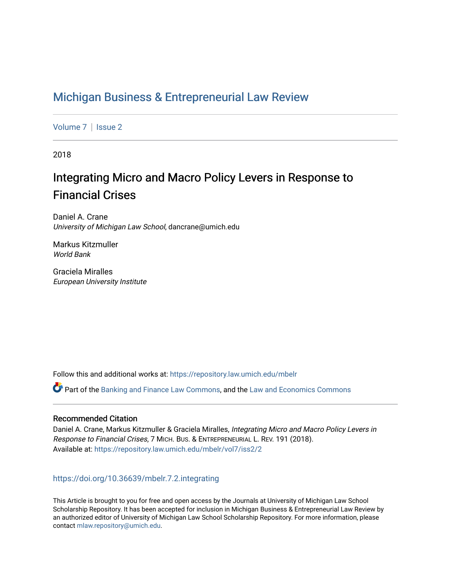# [Michigan Business & Entrepreneurial Law Review](https://repository.law.umich.edu/mbelr)

[Volume 7](https://repository.law.umich.edu/mbelr/vol7) | Issue 2

2018

# Integrating Micro and Macro Policy Levers in Response to Financial Crises

Daniel A. Crane University of Michigan Law School, dancrane@umich.edu

Markus Kitzmuller World Bank

Graciela Miralles European University Institute

Follow this and additional works at: [https://repository.law.umich.edu/mbelr](https://repository.law.umich.edu/mbelr?utm_source=repository.law.umich.edu%2Fmbelr%2Fvol7%2Fiss2%2F2&utm_medium=PDF&utm_campaign=PDFCoverPages)

Part of the [Banking and Finance Law Commons,](http://network.bepress.com/hgg/discipline/833?utm_source=repository.law.umich.edu%2Fmbelr%2Fvol7%2Fiss2%2F2&utm_medium=PDF&utm_campaign=PDFCoverPages) and the [Law and Economics Commons](http://network.bepress.com/hgg/discipline/612?utm_source=repository.law.umich.edu%2Fmbelr%2Fvol7%2Fiss2%2F2&utm_medium=PDF&utm_campaign=PDFCoverPages) 

## Recommended Citation

Daniel A. Crane, Markus Kitzmuller & Graciela Miralles, Integrating Micro and Macro Policy Levers in Response to Financial Crises, 7 MICH. BUS. & ENTREPRENEURIAL L. REV. 191 (2018). Available at: [https://repository.law.umich.edu/mbelr/vol7/iss2/2](https://repository.law.umich.edu/mbelr/vol7/iss2/2?utm_source=repository.law.umich.edu%2Fmbelr%2Fvol7%2Fiss2%2F2&utm_medium=PDF&utm_campaign=PDFCoverPages) 

# <https://doi.org/10.36639/mbelr.7.2.integrating>

This Article is brought to you for free and open access by the Journals at University of Michigan Law School Scholarship Repository. It has been accepted for inclusion in Michigan Business & Entrepreneurial Law Review by an authorized editor of University of Michigan Law School Scholarship Repository. For more information, please contact [mlaw.repository@umich.edu](mailto:mlaw.repository@umich.edu).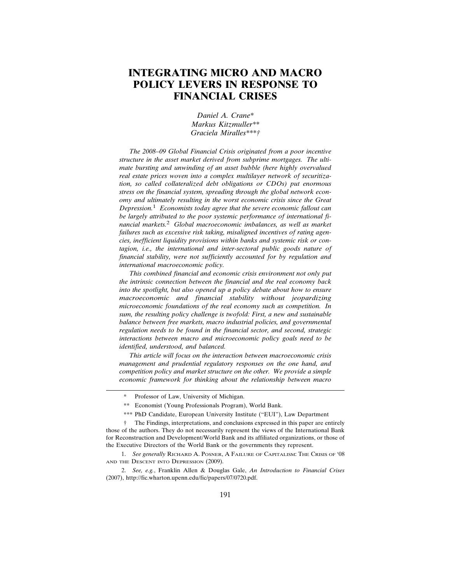# **INTEGRATING MICRO AND MACRO POLICY LEVERS IN RESPONSE TO FINANCIAL CRISES**

*Daniel A. Crane\* Markus Kitzmuller\*\* Graciela Miralles\*\*\*†*

*The 2008–09 Global Financial Crisis originated from a poor incentive structure in the asset market derived from subprime mortgages. The ultimate bursting and unwinding of an asset bubble (here highly overvalued real estate prices woven into a complex multilayer network of securitization, so called collateralized debt obligations or CDOs) put enormous stress on the financial system, spreading through the global network economy and ultimately resulting in the worst economic crisis since the Great Depression.*1 *Economists today agree that the severe economic fallout can be largely attributed to the poor systemic performance of international financial markets.*2 *Global macroeconomic imbalances, as well as market failures such as excessive risk taking, misaligned incentives of rating agencies, inefficient liquidity provisions within banks and systemic risk or contagion, i.e., the international and inter-sectoral public goods nature of financial stability, were not sufficiently accounted for by regulation and international macroeconomic policy.*

*This combined financial and economic crisis environment not only put the intrinsic connection between the financial and the real economy back into the spotlight, but also opened up a policy debate about how to ensure macroeconomic and financial stability without jeopardizing microeconomic foundations of the real economy such as competition. In sum, the resulting policy challenge is twofold: First, a new and sustainable balance between free markets, macro industrial policies, and governmental regulation needs to be found in the financial sector, and second, strategic interactions between macro and microeconomic policy goals need to be identified, understood, and balanced.*

*This article will focus on the interaction between macroeconomic crisis management and prudential regulatory responses on the one hand, and competition policy and market structure on the other. We provide a simple economic framework for thinking about the relationship between macro*

1. *See generally* RICHARD A. POSNER, A FAILURE OF CAPITALISM: THE CRISIS OF '08 AND THE DESCENT INTO DEPRESSION (2009).

2. *See, e.g.*, Franklin Allen & Douglas Gale, *An Introduction to Financial Crises* (2007), http://fic.wharton.upenn.edu/fic/papers/07/0720.pdf.

Professor of Law, University of Michigan.

<sup>\*\*</sup> Economist (Young Professionals Program), World Bank.

<sup>\*\*\*</sup> PhD Candidate, European University Institute ("EUI"), Law Department

<sup>†</sup> The Findings, interpretations, and conclusions expressed in this paper are entirely those of the authors. They do not necessarily represent the views of the International Bank for Reconstruction and Development/World Bank and its affiliated organizations, or those of the Executive Directors of the World Bank or the governments they represent.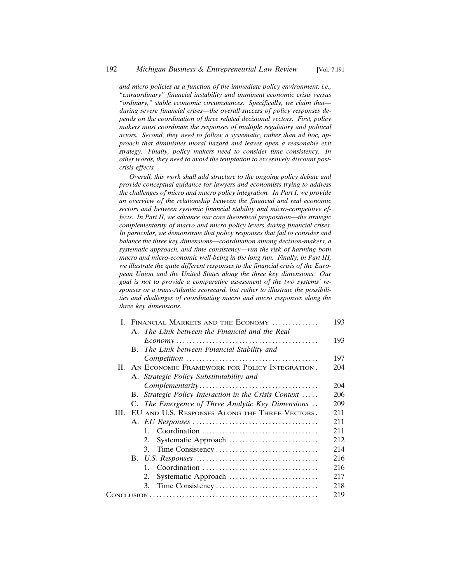*and micro policies as a function of the immediate policy environment, i.e., "extraordinary" financial instability and imminent economic crisis versus "ordinary," stable economic circumstances. Specifically, we claim that during severe financial crises—the overall success of policy responses depends on the coordination of three related decisional vectors. First, policy makers must coordinate the responses of multiple regulatory and political actors. Second, they need to follow a systematic, rather than ad hoc, approach that diminishes moral hazard and leaves open a reasonable exit strategy. Finally, policy makers need to consider time consistency. In other words, they need to avoid the temptation to excessively discount postcrisis effects.*

*Overall, this work shall add structure to the ongoing policy debate and provide conceptual guidance for lawyers and economists trying to address the challenges of micro and macro policy integration. In Part I, we provide an overview of the relationship between the financial and real economic sectors and between systemic financial stability and micro-competitive effects. In Part II, we advance our core theoretical proposition—the strategic complementarity of macro and micro policy levers during financial crises. In particular, we demonstrate that policy responses that fail to consider and balance the three key dimensions—coordination among decision-makers, a systematic approach, and time consistency—run the risk of harming both macro and micro-economic well-being in the long run. Finally, in Part III, we illustrate the quite different responses to the financial crisis of the European Union and the United States along the three key dimensions. Our goal is not to provide a comparative assessment of the two systems' responses or a trans-Atlantic scorecard, but rather to illustrate the possibilities and challenges of coordinating macro and micro responses along the three key dimensions.*

|  | I. FINANCIAL MARKETS AND THE ECONOMY |                                                     |     |
|--|--------------------------------------|-----------------------------------------------------|-----|
|  |                                      | A. The Link between the Financial and the Real      |     |
|  |                                      |                                                     | 193 |
|  | B.                                   | The Link between Financial Stability and            |     |
|  |                                      |                                                     | 197 |
|  |                                      | II. AN ECONOMIC FRAMEWORK FOR POLICY INTEGRATION.   | 204 |
|  |                                      | A. Strategic Policy Substitutability and            |     |
|  |                                      |                                                     | 204 |
|  | В.                                   | Strategic Policy Interaction in the Crisis Context  | 206 |
|  |                                      | C. The Emergence of Three Analytic Key Dimensions   | 209 |
|  |                                      | III. EU AND U.S. RESPONSES ALONG THE THREE VECTORS. | 211 |
|  |                                      |                                                     | 211 |
|  |                                      | $\mathbf{1}$                                        | 211 |
|  |                                      | 2.                                                  | 212 |
|  |                                      | 3.                                                  | 214 |
|  |                                      |                                                     | 216 |
|  |                                      | $1_{-}$                                             | 216 |
|  |                                      | 2.                                                  | 217 |
|  |                                      | 3.                                                  | 218 |
|  |                                      |                                                     | 219 |
|  |                                      |                                                     |     |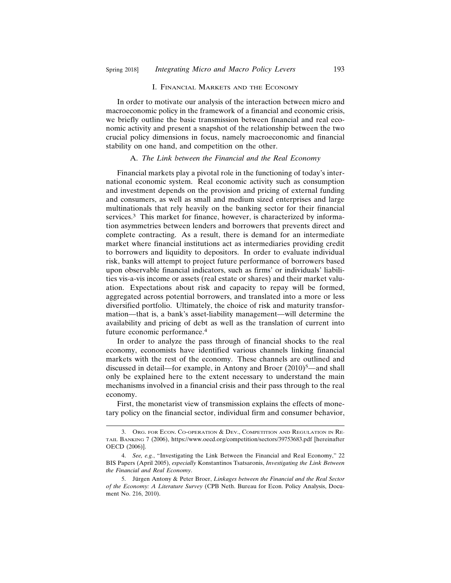#### I. FINANCIAL MARKETS AND THE ECONOMY

In order to motivate our analysis of the interaction between micro and macroeconomic policy in the framework of a financial and economic crisis, we briefly outline the basic transmission between financial and real economic activity and present a snapshot of the relationship between the two crucial policy dimensions in focus, namely macroeconomic and financial stability on one hand, and competition on the other.

#### A. *The Link between the Financial and the Real Economy*

Financial markets play a pivotal role in the functioning of today's international economic system. Real economic activity such as consumption and investment depends on the provision and pricing of external funding and consumers, as well as small and medium sized enterprises and large multinationals that rely heavily on the banking sector for their financial services.3 This market for finance, however, is characterized by information asymmetries between lenders and borrowers that prevents direct and complete contracting. As a result, there is demand for an intermediate market where financial institutions act as intermediaries providing credit to borrowers and liquidity to depositors. In order to evaluate individual risk, banks will attempt to project future performance of borrowers based upon observable financial indicators, such as firms' or individuals' liabilities vis-a-vis income or assets (real estate or shares) and their market valuation. Expectations about risk and capacity to repay will be formed, aggregated across potential borrowers, and translated into a more or less diversified portfolio. Ultimately, the choice of risk and maturity transformation—that is, a bank's asset-liability management—will determine the availability and pricing of debt as well as the translation of current into future economic performance.4

In order to analyze the pass through of financial shocks to the real economy, economists have identified various channels linking financial markets with the rest of the economy. These channels are outlined and discussed in detail—for example, in Antony and Broer  $(2010)^5$ —and shall only be explained here to the extent necessary to understand the main mechanisms involved in a financial crisis and their pass through to the real economy.

First, the monetarist view of transmission explains the effects of monetary policy on the financial sector, individual firm and consumer behavior,

<sup>3.</sup> ORG. FOR ECON. CO-OPERATION & DEV., COMPETITION AND REGULATION IN RE-TAIL BANKING 7 (2006), https://www.oecd.org/competition/sectors/39753683.pdf [hereinafter OECD (2006)].

<sup>4.</sup> *See, e.g.*, "Investigating the Link Between the Financial and Real Economy," 22 BIS Papers (April 2005), *especially* Konstantinos Tsatsaronis, *Investigating the Link Between the Financial and Real Economy*.

<sup>5.</sup> Jürgen Antony & Peter Broer, *Linkages between the Financial and the Real Sector of the Economy: A Literature Survey* (CPB Neth. Bureau for Econ. Policy Analysis, Document No. 216, 2010).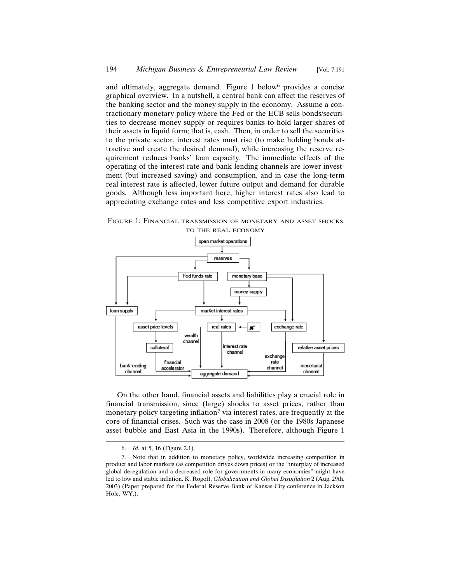and ultimately, aggregate demand. Figure 1 below<sup>6</sup> provides a concise graphical overview. In a nutshell, a central bank can affect the reserves of the banking sector and the money supply in the economy. Assume a contractionary monetary policy where the Fed or the ECB sells bonds/securities to decrease money supply or requires banks to hold larger shares of their assets in liquid form; that is, cash. Then, in order to sell the securities to the private sector, interest rates must rise (to make holding bonds attractive and create the desired demand), while increasing the reserve requirement reduces banks' loan capacity. The immediate effects of the operating of the interest rate and bank lending channels are lower investment (but increased saving) and consumption, and in case the long-term real interest rate is affected, lower future output and demand for durable goods. Although less important here, higher interest rates also lead to appreciating exchange rates and less competitive export industries.

FIGURE 1: FINANCIAL TRANSMISSION OF MONETARY AND ASSET SHOCKS TO THE REAL ECONOMY



On the other hand, financial assets and liabilities play a crucial role in financial transmission, since (large) shocks to asset prices, rather than monetary policy targeting inflation<sup>7</sup> via interest rates, are frequently at the core of financial crises. Such was the case in 2008 (or the 1980s Japanese asset bubble and East Asia in the 1990s). Therefore, although Figure 1

<sup>6.</sup> *Id.* at 5, 16 (Figure 2.1).

<sup>7.</sup> Note that in addition to monetary policy, worldwide increasing competition in product and labor markets (as competition drives down prices) or the "interplay of increased global deregulation and a decreased role for governments in many economies" might have led to low and stable inflation. K. Rogoff, *Globalization and Global Disinflation* 2 (Aug. 29th, 2003) (Paper prepared for the Federal Reserve Bank of Kansas City conference in Jackson Hole, WY.).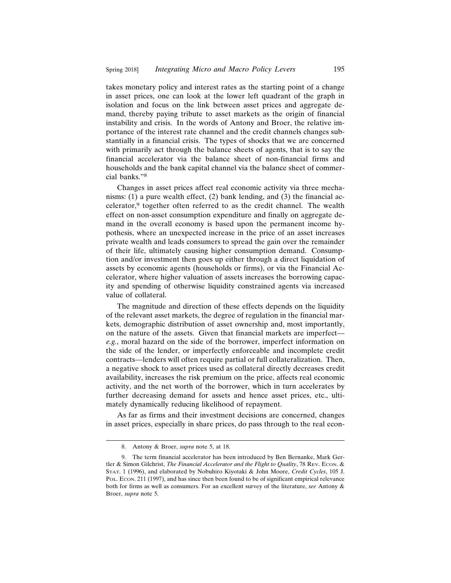takes monetary policy and interest rates as the starting point of a change in asset prices, one can look at the lower left quadrant of the graph in isolation and focus on the link between asset prices and aggregate demand, thereby paying tribute to asset markets as the origin of financial instability and crisis. In the words of Antony and Broer, the relative importance of the interest rate channel and the credit channels changes substantially in a financial crisis. The types of shocks that we are concerned with primarily act through the balance sheets of agents, that is to say the financial accelerator via the balance sheet of non-financial firms and households and the bank capital channel via the balance sheet of commercial banks."8

Changes in asset prices affect real economic activity via three mechanisms: (1) a pure wealth effect, (2) bank lending, and (3) the financial accelerator,9 together often referred to as the credit channel. The wealth effect on non-asset consumption expenditure and finally on aggregate demand in the overall economy is based upon the permanent income hypothesis, where an unexpected increase in the price of an asset increases private wealth and leads consumers to spread the gain over the remainder of their life, ultimately causing higher consumption demand. Consumption and/or investment then goes up either through a direct liquidation of assets by economic agents (households or firms), or via the Financial Accelerator, where higher valuation of assets increases the borrowing capacity and spending of otherwise liquidity constrained agents via increased value of collateral.

The magnitude and direction of these effects depends on the liquidity of the relevant asset markets, the degree of regulation in the financial markets, demographic distribution of asset ownership and, most importantly, on the nature of the assets. Given that financial markets are imperfect *e.g.*, moral hazard on the side of the borrower, imperfect information on the side of the lender, or imperfectly enforceable and incomplete credit contracts—lenders will often require partial or full collateralization. Then, a negative shock to asset prices used as collateral directly decreases credit availability, increases the risk premium on the price, affects real economic activity, and the net worth of the borrower, which in turn accelerates by further decreasing demand for assets and hence asset prices, etc., ultimately dynamically reducing likelihood of repayment.

As far as firms and their investment decisions are concerned, changes in asset prices, especially in share prices, do pass through to the real econ-

<sup>8.</sup> Antony & Broer, *supra* note 5, at 18.

<sup>9.</sup> The term financial accelerator has been introduced by Ben Bernanke, Mark Gertler & Simon Gilchrist, *The Financial Accelerator and the Flight to Quality*, 78 REV. ECON. & STAT. 1 (1996), and elaborated by Nobuhiro Kiyotaki & John Moore, *Credit Cycles*, 105 J. POL. ECON. 211 (1997), and has since then been found to be of significant empirical relevance both for firms as well as consumers. For an excellent survey of the literature, *see* Antony & Broer, *supra* note 5.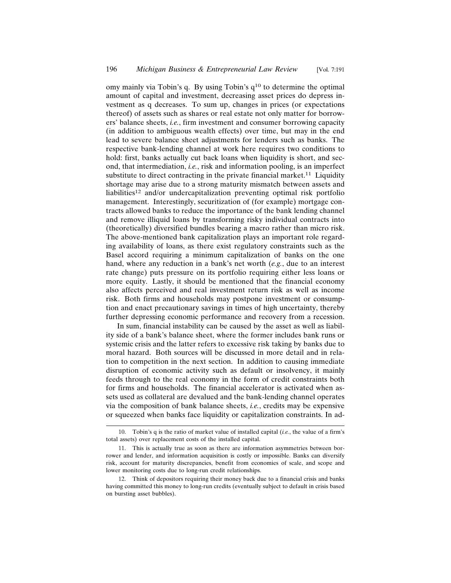omy mainly via Tobin's q. By using Tobin's q10 to determine the optimal amount of capital and investment, decreasing asset prices do depress investment as q decreases. To sum up, changes in prices (or expectations thereof) of assets such as shares or real estate not only matter for borrowers' balance sheets, *i.e.*, firm investment and consumer borrowing capacity (in addition to ambiguous wealth effects) over time, but may in the end lead to severe balance sheet adjustments for lenders such as banks. The respective bank-lending channel at work here requires two conditions to hold: first, banks actually cut back loans when liquidity is short, and second, that intermediation, *i.e.*, risk and information pooling, is an imperfect substitute to direct contracting in the private financial market.<sup>11</sup> Liquidity shortage may arise due to a strong maturity mismatch between assets and liabilities12 and/or undercapitalization preventing optimal risk portfolio management. Interestingly, securitization of (for example) mortgage contracts allowed banks to reduce the importance of the bank lending channel and remove illiquid loans by transforming risky individual contracts into (theoretically) diversified bundles bearing a macro rather than micro risk. The above-mentioned bank capitalization plays an important role regarding availability of loans, as there exist regulatory constraints such as the Basel accord requiring a minimum capitalization of banks on the one hand, where any reduction in a bank's net worth (*e.g.*, due to an interest rate change) puts pressure on its portfolio requiring either less loans or more equity. Lastly, it should be mentioned that the financial economy also affects perceived and real investment return risk as well as income risk. Both firms and households may postpone investment or consumption and enact precautionary savings in times of high uncertainty, thereby further depressing economic performance and recovery from a recession.

In sum, financial instability can be caused by the asset as well as liability side of a bank's balance sheet, where the former includes bank runs or systemic crisis and the latter refers to excessive risk taking by banks due to moral hazard. Both sources will be discussed in more detail and in relation to competition in the next section. In addition to causing immediate disruption of economic activity such as default or insolvency, it mainly feeds through to the real economy in the form of credit constraints both for firms and households. The financial accelerator is activated when assets used as collateral are devalued and the bank-lending channel operates via the composition of bank balance sheets, *i.e.*, credits may be expensive or squeezed when banks face liquidity or capitalization constraints. In ad-

<sup>10.</sup> Tobin's q is the ratio of market value of installed capital (*i.e.*, the value of a firm's total assets) over replacement costs of the installed capital.

<sup>11.</sup> This is actually true as soon as there are information asymmetries between borrower and lender, and information acquisition is costly or impossible. Banks can diversify risk, account for maturity discrepancies, benefit from economies of scale, and scope and lower monitoring costs due to long-run credit relationships.

<sup>12.</sup> Think of depositors requiring their money back due to a financial crisis and banks having committed this money to long-run credits (eventually subject to default in crisis based on bursting asset bubbles).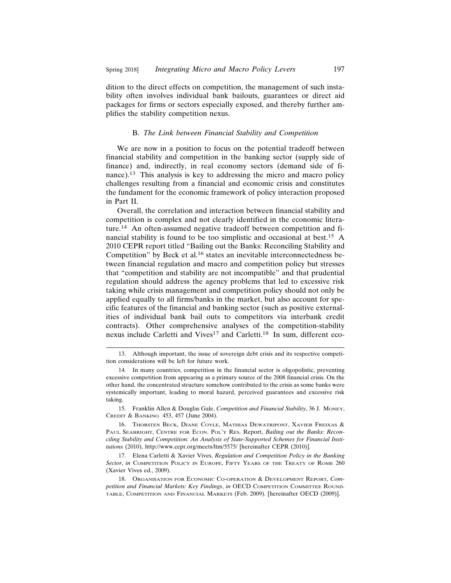dition to the direct effects on competition, the management of such instability often involves individual bank bailouts, guarantees or direct aid packages for firms or sectors especially exposed, and thereby further amplifies the stability competition nexus.

#### B. *The Link between Financial Stability and Competition*

We are now in a position to focus on the potential tradeoff between financial stability and competition in the banking sector (supply side of finance) and, indirectly, in real economy sectors (demand side of finance).13 This analysis is key to addressing the micro and macro policy challenges resulting from a financial and economic crisis and constitutes the fundament for the economic framework of policy interaction proposed in Part II.

Overall, the correlation and interaction between financial stability and competition is complex and not clearly identified in the economic literature.14 An often-assumed negative tradeoff between competition and financial stability is found to be too simplistic and occasional at best.15 A 2010 CEPR report titled "Bailing out the Banks: Reconciling Stability and Competition" by Beck et al.16 states an inevitable interconnectedness between financial regulation and macro and competition policy but stresses that "competition and stability are not incompatible" and that prudential regulation should address the agency problems that led to excessive risk taking while crisis management and competition policy should not only be applied equally to all firms/banks in the market, but also account for specific features of the financial and banking sector (such as positive externalities of individual bank bail outs to competitors via interbank credit contracts). Other comprehensive analyses of the competition-stability nexus include Carletti and Vives<sup>17</sup> and Carletti.<sup>18</sup> In sum, different eco-

15. Franklin Allen & Douglas Gale, *Competition and Financial Stability*, 36 J. MONEY, CREDIT & BANKING 453, 457 (June 2004).

17. Elena Carletti & Xavier Vives, *Regulation and Competition Policy in the Banking Sector*, *in* COMPETITION POLICY IN EUROPE, FIFTY YEARS OF THE TREATY OF ROME 260 (Xavier Vives ed., 2009).

18. ORGANISATION FOR ECONOMIC CO-OPERATION & DEVELOPMENT REPORT, *Competition and Financial Markets: Key Findings*, *in* OECD COMPETITION COMMITTEE ROUND-TABLE, COMPETITION AND FINANCIAL MARKETS (Feb. 2009). [hereinafter OECD (2009)].

<sup>13.</sup> Although important, the issue of sovereign debt crisis and its respective competition considerations will be left for future work.

<sup>14.</sup> In many countries, competition in the financial sector is oligopolistic, preventing excessive competition from appearing as a primary source of the 2008 financial crisis. On the other hand, the concentrated structure somehow contributed to the crisis as some banks were systemically important, leading to moral hazard, perceived guarantees and excessive risk taking.

<sup>16.</sup> THORSTEN BECK, DIANE COYLE, MATHIAS DEWATRIPONT, XAVIER FREIXAS & PAUL SEABRIGHT, CENTRE FOR ECON. POL'Y RES. Report, *Bailing out the Banks: Reconciling Stability and Competition: An Analysis of State-Supported Schemes for Financial Institutions* (2010), http://www.cepr.org/meets/ltm/5575/ [hereinafter CEPR (2010)].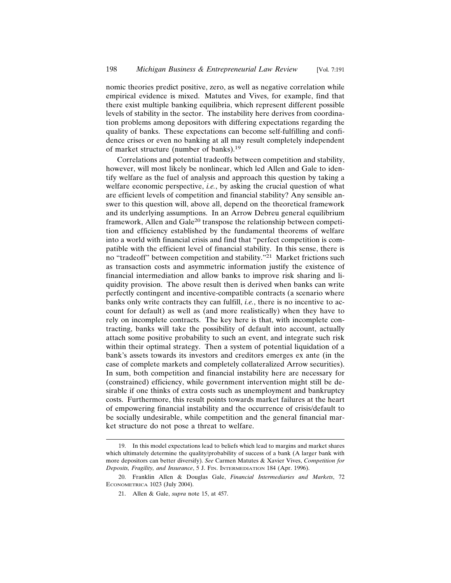nomic theories predict positive, zero, as well as negative correlation while empirical evidence is mixed. Matutes and Vives, for example, find that there exist multiple banking equilibria, which represent different possible levels of stability in the sector. The instability here derives from coordination problems among depositors with differing expectations regarding the quality of banks. These expectations can become self-fulfilling and confidence crises or even no banking at all may result completely independent of market structure (number of banks).19

Correlations and potential tradeoffs between competition and stability, however, will most likely be nonlinear, which led Allen and Gale to identify welfare as the fuel of analysis and approach this question by taking a welfare economic perspective, *i.e.*, by asking the crucial question of what are efficient levels of competition and financial stability? Any sensible answer to this question will, above all, depend on the theoretical framework and its underlying assumptions. In an Arrow Debreu general equilibrium framework, Allen and Gale<sup>20</sup> transpose the relationship between competition and efficiency established by the fundamental theorems of welfare into a world with financial crisis and find that "perfect competition is compatible with the efficient level of financial stability. In this sense, there is no "tradeoff" between competition and stability."21 Market frictions such as transaction costs and asymmetric information justify the existence of financial intermediation and allow banks to improve risk sharing and liquidity provision. The above result then is derived when banks can write perfectly contingent and incentive-compatible contracts (a scenario where banks only write contracts they can fulfill, *i.e.*, there is no incentive to account for default) as well as (and more realistically) when they have to rely on incomplete contracts. The key here is that, with incomplete contracting, banks will take the possibility of default into account, actually attach some positive probability to such an event, and integrate such risk within their optimal strategy. Then a system of potential liquidation of a bank's assets towards its investors and creditors emerges ex ante (in the case of complete markets and completely collateralized Arrow securities). In sum, both competition and financial instability here are necessary for (constrained) efficiency, while government intervention might still be desirable if one thinks of extra costs such as unemployment and bankruptcy costs. Furthermore, this result points towards market failures at the heart of empowering financial instability and the occurrence of crisis/default to be socially undesirable, while competition and the general financial market structure do not pose a threat to welfare.

<sup>19.</sup> In this model expectations lead to beliefs which lead to margins and market shares which ultimately determine the quality/probability of success of a bank (A larger bank with more depositors can better diversify). *See* Carmen Matutes & Xavier Vives, *Competition for Deposits, Fragility, and Insurance*, 5 J. FIN. INTERMEDIATION 184 (Apr. 1996).

<sup>20.</sup> Franklin Allen & Douglas Gale, *Financial Intermediaries and Markets*, 72 ECONOMETRICA 1023 (July 2004).

<sup>21.</sup> Allen & Gale, *supra* note 15, at 457.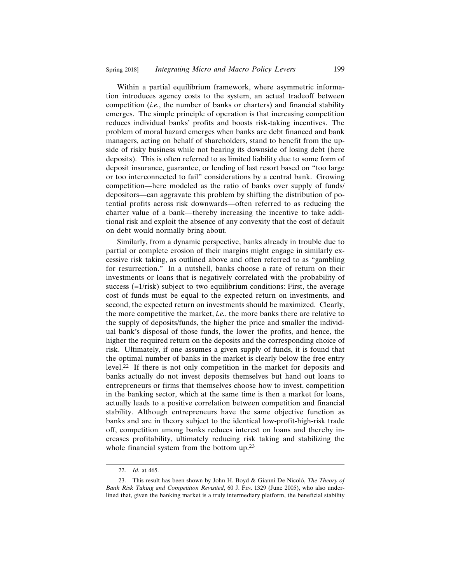Within a partial equilibrium framework, where asymmetric information introduces agency costs to the system, an actual tradeoff between competition (*i.e.*, the number of banks or charters) and financial stability emerges. The simple principle of operation is that increasing competition reduces individual banks' profits and boosts risk-taking incentives. The problem of moral hazard emerges when banks are debt financed and bank managers, acting on behalf of shareholders, stand to benefit from the upside of risky business while not bearing its downside of losing debt (here deposits). This is often referred to as limited liability due to some form of deposit insurance, guarantee, or lending of last resort based on "too large or too interconnected to fail" considerations by a central bank. Growing competition—here modeled as the ratio of banks over supply of funds/ depositors—can aggravate this problem by shifting the distribution of potential profits across risk downwards—often referred to as reducing the charter value of a bank—thereby increasing the incentive to take additional risk and exploit the absence of any convexity that the cost of default on debt would normally bring about.

Similarly, from a dynamic perspective, banks already in trouble due to partial or complete erosion of their margins might engage in similarly excessive risk taking, as outlined above and often referred to as "gambling for resurrection." In a nutshell, banks choose a rate of return on their investments or loans that is negatively correlated with the probability of success (=1/risk) subject to two equilibrium conditions: First, the average cost of funds must be equal to the expected return on investments, and second, the expected return on investments should be maximized. Clearly, the more competitive the market, *i.e.*, the more banks there are relative to the supply of deposits/funds, the higher the price and smaller the individual bank's disposal of those funds, the lower the profits, and hence, the higher the required return on the deposits and the corresponding choice of risk. Ultimately, if one assumes a given supply of funds, it is found that the optimal number of banks in the market is clearly below the free entry level.22 If there is not only competition in the market for deposits and banks actually do not invest deposits themselves but hand out loans to entrepreneurs or firms that themselves choose how to invest, competition in the banking sector, which at the same time is then a market for loans, actually leads to a positive correlation between competition and financial stability. Although entrepreneurs have the same objective function as banks and are in theory subject to the identical low-profit-high-risk trade off, competition among banks reduces interest on loans and thereby increases profitability, ultimately reducing risk taking and stabilizing the whole financial system from the bottom up.<sup>23</sup>

<sup>22.</sup> *Id.* at 465.

<sup>23.</sup> This result has been shown by John H. Boyd & Gianni De Nicoló, *The Theory of Bank Risk Taking and Competition Revisited*, 60 J. FIN. 1329 (June 2005), who also underlined that, given the banking market is a truly intermediary platform, the beneficial stability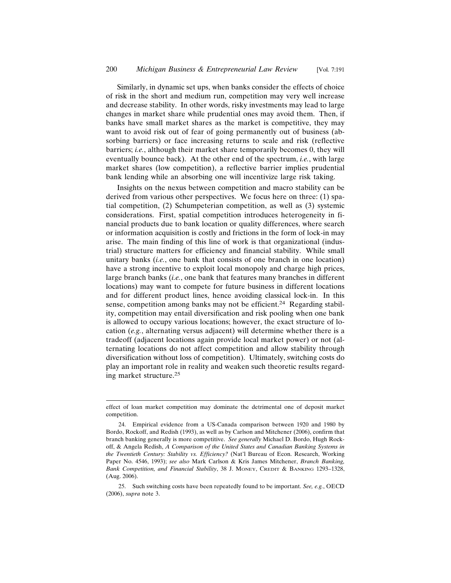Similarly, in dynamic set ups, when banks consider the effects of choice of risk in the short and medium run, competition may very well increase and decrease stability. In other words, risky investments may lead to large changes in market share while prudential ones may avoid them. Then, if banks have small market shares as the market is competitive, they may want to avoid risk out of fear of going permanently out of business (absorbing barriers) or face increasing returns to scale and risk (reflective barriers; *i.e.*, although their market share temporarily becomes 0, they will eventually bounce back). At the other end of the spectrum, *i.e.*, with large market shares (low competition), a reflective barrier implies prudential bank lending while an absorbing one will incentivize large risk taking.

Insights on the nexus between competition and macro stability can be derived from various other perspectives. We focus here on three: (1) spatial competition, (2) Schumpeterian competition, as well as (3) systemic considerations. First, spatial competition introduces heterogeneity in financial products due to bank location or quality differences, where search or information acquisition is costly and frictions in the form of lock-in may arise. The main finding of this line of work is that organizational (industrial) structure matters for efficiency and financial stability. While small unitary banks (*i.e.*, one bank that consists of one branch in one location) have a strong incentive to exploit local monopoly and charge high prices, large branch banks (*i.e.*, one bank that features many branches in different locations) may want to compete for future business in different locations and for different product lines, hence avoiding classical lock-in. In this sense, competition among banks may not be efficient.<sup>24</sup> Regarding stability, competition may entail diversification and risk pooling when one bank is allowed to occupy various locations; however, the exact structure of location (*e.g.*, alternating versus adjacent) will determine whether there is a tradeoff (adjacent locations again provide local market power) or not (alternating locations do not affect competition and allow stability through diversification without loss of competition). Ultimately, switching costs do play an important role in reality and weaken such theoretic results regarding market structure.25

effect of loan market competition may dominate the detrimental one of deposit market competition.

<sup>24.</sup> Empirical evidence from a US-Canada comparison between 1920 and 1980 by Bordo, Rockoff, and Redish (1993), as well as by Carlson and Mitchener (2006), confirm that branch banking generally is more competitive. *See generally* Michael D. Bordo, Hugh Rockoff, & Angela Redish, *A Comparison of the United States and Canadian Banking Systems in the Twentieth Century: Stability vs. Efficiency?* (Nat'l Bureau of Econ. Research, Working Paper No. 4546, 1993); *see also* Mark Carlson & Kris James Mitchener, *Branch Banking, Bank Competition, and Financial Stability*, 38 J. MONEY, CREDIT & BANKING 1293–1328, (Aug. 2006).

<sup>25.</sup> Such switching costs have been repeatedly found to be important. *See, e.g.*, OECD (2006), *supra* note 3.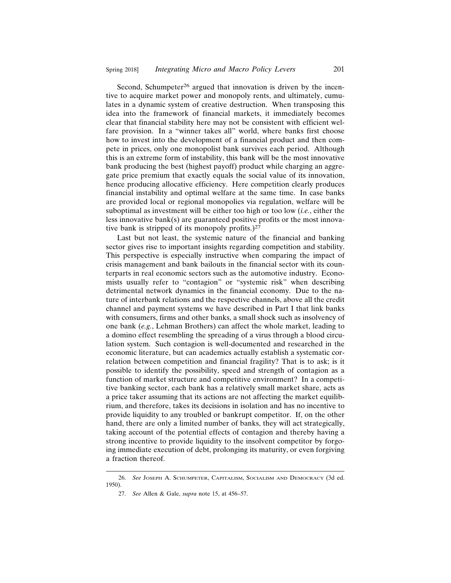Second, Schumpeter<sup>26</sup> argued that innovation is driven by the incentive to acquire market power and monopoly rents, and ultimately, cumulates in a dynamic system of creative destruction. When transposing this idea into the framework of financial markets, it immediately becomes clear that financial stability here may not be consistent with efficient welfare provision. In a "winner takes all" world, where banks first choose how to invest into the development of a financial product and then compete in prices, only one monopolist bank survives each period. Although this is an extreme form of instability, this bank will be the most innovative bank producing the best (highest payoff) product while charging an aggregate price premium that exactly equals the social value of its innovation, hence producing allocative efficiency. Here competition clearly produces financial instability and optimal welfare at the same time. In case banks are provided local or regional monopolies via regulation, welfare will be suboptimal as investment will be either too high or too low (*i.e.*, either the less innovative bank $(s)$  are guaranteed positive profits or the most innovative bank is stripped of its monopoly profits.)27

Last but not least, the systemic nature of the financial and banking sector gives rise to important insights regarding competition and stability. This perspective is especially instructive when comparing the impact of crisis management and bank bailouts in the financial sector with its counterparts in real economic sectors such as the automotive industry. Economists usually refer to "contagion" or "systemic risk" when describing detrimental network dynamics in the financial economy. Due to the nature of interbank relations and the respective channels, above all the credit channel and payment systems we have described in Part I that link banks with consumers, firms and other banks, a small shock such as insolvency of one bank (*e.g.*, Lehman Brothers) can affect the whole market, leading to a domino effect resembling the spreading of a virus through a blood circulation system. Such contagion is well-documented and researched in the economic literature, but can academics actually establish a systematic correlation between competition and financial fragility? That is to ask; is it possible to identify the possibility, speed and strength of contagion as a function of market structure and competitive environment? In a competitive banking sector, each bank has a relatively small market share, acts as a price taker assuming that its actions are not affecting the market equilibrium, and therefore, takes its decisions in isolation and has no incentive to provide liquidity to any troubled or bankrupt competitor. If, on the other hand, there are only a limited number of banks, they will act strategically, taking account of the potential effects of contagion and thereby having a strong incentive to provide liquidity to the insolvent competitor by forgoing immediate execution of debt, prolonging its maturity, or even forgiving a fraction thereof.

<sup>26.</sup> *See* JOSEPH A. SCHUMPETER, CAPITALISM, SOCIALISM AND DEMOCRACY (3d ed. 1950).

<sup>27.</sup> *See* Allen & Gale, *supra* note 15, at 456–57.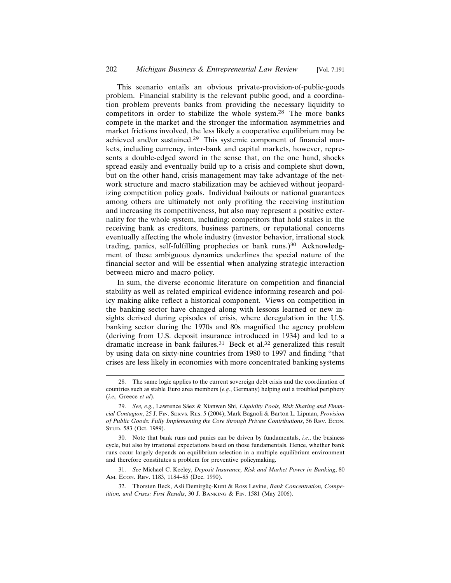This scenario entails an obvious private-provision-of-public-goods problem. Financial stability is the relevant public good, and a coordination problem prevents banks from providing the necessary liquidity to competitors in order to stabilize the whole system.28 The more banks compete in the market and the stronger the information asymmetries and market frictions involved, the less likely a cooperative equilibrium may be achieved and/or sustained.29 This systemic component of financial markets, including currency, inter-bank and capital markets, however, represents a double-edged sword in the sense that, on the one hand, shocks spread easily and eventually build up to a crisis and complete shut down, but on the other hand, crisis management may take advantage of the network structure and macro stabilization may be achieved without jeopardizing competition policy goals. Individual bailouts or national guarantees among others are ultimately not only profiting the receiving institution and increasing its competitiveness, but also may represent a positive externality for the whole system, including: competitors that hold stakes in the receiving bank as creditors, business partners, or reputational concerns eventually affecting the whole industry (investor behavior, irrational stock trading, panics, self-fulfilling prophecies or bank runs.)<sup>30</sup> Acknowledgment of these ambiguous dynamics underlines the special nature of the financial sector and will be essential when analyzing strategic interaction between micro and macro policy.

In sum, the diverse economic literature on competition and financial stability as well as related empirical evidence informing research and policy making alike reflect a historical component. Views on competition in the banking sector have changed along with lessons learned or new insights derived during episodes of crisis, where deregulation in the U.S. banking sector during the 1970s and 80s magnified the agency problem (deriving from U.S. deposit insurance introduced in 1934) and led to a dramatic increase in bank failures.<sup>31</sup> Beck et al.<sup>32</sup> generalized this result by using data on sixty-nine countries from 1980 to 1997 and finding "that crises are less likely in economies with more concentrated banking systems

31. *See* Michael C. Keeley, *Deposit Insurance, Risk and Market Power in Banking*, 80 AM. ECON. REV. 1183, 1184–85 (Dec. 1990).

<sup>28.</sup> The same logic applies to the current sovereign debt crisis and the coordination of countries such as stable Euro area members (*e.g.*, Germany) helping out a troubled periphery (*i.e.,* Greece *et al*).

<sup>29.</sup> See, e.g., Lawrence Sáez & Xianwen Shi, *Liquidity Pools, Risk Sharing and Financial Contagion*, 25 J. FIN. SERVS. RES. 5 (2004); Mark Bagnoli & Barton L. Lipman, *Provision of Public Goods: Fully Implementing the Core through Private Contributions*, 56 REV. ECON. STUD. 583 (Oct. 1989).

<sup>30.</sup> Note that bank runs and panics can be driven by fundamentals, *i.e.*, the business cycle, but also by irrational expectations based on those fundamentals. Hence, whether bank runs occur largely depends on equilibrium selection in a multiple equilibrium environment and therefore constitutes a problem for preventive policymaking.

<sup>32.</sup> Thorsten Beck, Asli Demirgüç-Kunt & Ross Levine, *Bank Concentration, Competition, and Crises: First Results*, 30 J. BANKING & FIN. 1581 (May 2006).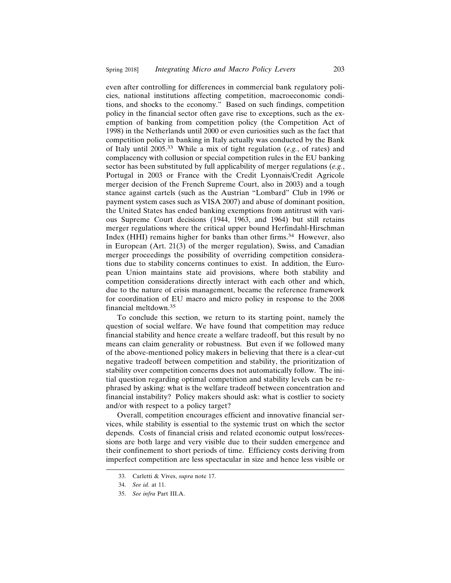even after controlling for differences in commercial bank regulatory policies, national institutions affecting competition, macroeconomic conditions, and shocks to the economy." Based on such findings, competition policy in the financial sector often gave rise to exceptions, such as the exemption of banking from competition policy (the Competition Act of 1998) in the Netherlands until 2000 or even curiosities such as the fact that competition policy in banking in Italy actually was conducted by the Bank of Italy until 2005.33 While a mix of tight regulation (*e.g.*, of rates) and complacency with collusion or special competition rules in the EU banking sector has been substituted by full applicability of merger regulations (*e.g.*, Portugal in 2003 or France with the Credit Lyonnais/Credit Agricole merger decision of the French Supreme Court, also in 2003) and a tough stance against cartels (such as the Austrian "Lombard" Club in 1996 or payment system cases such as VISA 2007) and abuse of dominant position, the United States has ended banking exemptions from antitrust with various Supreme Court decisions (1944, 1963, and 1964) but still retains merger regulations where the critical upper bound Herfindahl-Hirschman Index (HHI) remains higher for banks than other firms.34 However, also in European (Art. 21(3) of the merger regulation), Swiss, and Canadian merger proceedings the possibility of overriding competition considerations due to stability concerns continues to exist. In addition, the European Union maintains state aid provisions, where both stability and competition considerations directly interact with each other and which, due to the nature of crisis management, became the reference framework for coordination of EU macro and micro policy in response to the 2008 financial meltdown.35

To conclude this section, we return to its starting point, namely the question of social welfare. We have found that competition may reduce financial stability and hence create a welfare tradeoff, but this result by no means can claim generality or robustness. But even if we followed many of the above-mentioned policy makers in believing that there is a clear-cut negative tradeoff between competition and stability, the prioritization of stability over competition concerns does not automatically follow. The initial question regarding optimal competition and stability levels can be rephrased by asking: what is the welfare tradeoff between concentration and financial instability? Policy makers should ask: what is costlier to society and/or with respect to a policy target?

Overall, competition encourages efficient and innovative financial services, while stability is essential to the systemic trust on which the sector depends. Costs of financial crisis and related economic output loss/recessions are both large and very visible due to their sudden emergence and their confinement to short periods of time. Efficiency costs deriving from imperfect competition are less spectacular in size and hence less visible or

<sup>33.</sup> Carletti & Vives, *supra* note 17.

<sup>34.</sup> *See id.* at 11.

<sup>35.</sup> *See infra* Part III.A.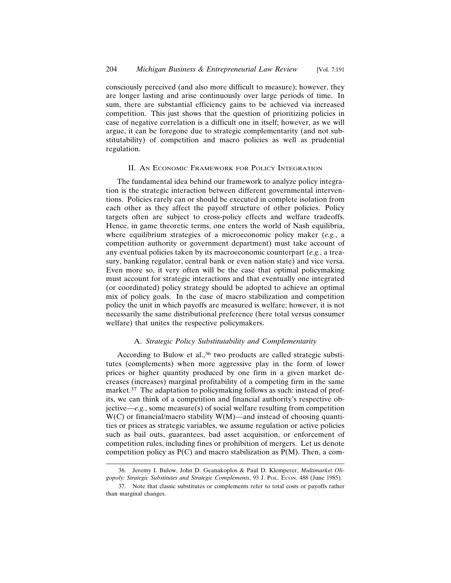consciously perceived (and also more difficult to measure); however, they are longer lasting and arise continuously over large periods of time. In sum, there are substantial efficiency gains to be achieved via increased competition. This just shows that the question of prioritizing policies in case of negative correlation is a difficult one in itself; however, as we will argue, it can be foregone due to strategic complementarity (and not substitutability) of competition and macro policies as well as prudential regulation.

#### II. AN ECONOMIC FRAMEWORK FOR POLICY INTEGRATION

The fundamental idea behind our framework to analyze policy integration is the strategic interaction between different governmental interventions. Policies rarely can or should be executed in complete isolation from each other as they affect the payoff structure of other policies. Policy targets often are subject to cross-policy effects and welfare tradeoffs. Hence, in game theoretic terms, one enters the world of Nash equilibria, where equilibrium strategies of a microeconomic policy maker (*e.g.*, a competition authority or government department) must take account of any eventual policies taken by its macroeconomic counterpart (*e.g.*, a treasury, banking regulator, central bank or even nation state) and vice versa. Even more so, it very often will be the case that optimal policymaking must account for strategic interactions and that eventually one integrated (or coordinated) policy strategy should be adopted to achieve an optimal mix of policy goals. In the case of macro stabilization and competition policy the unit in which payoffs are measured is welfare; however, it is not necessarily the same distributional preference (here total versus consumer welfare) that unites the respective policymakers.

#### A. *Strategic Policy Substitutability and Complementarity*

According to Bulow et al.,<sup>36</sup> two products are called strategic substitutes (complements) when more aggressive play in the form of lower prices or higher quantity produced by one firm in a given market decreases (increases) marginal profitability of a competing firm in the same market. $37$  The adaptation to policymaking follows as such: instead of profits, we can think of a competition and financial authority's respective objective—*e.g.*, some measure(s) of social welfare resulting from competition  $W(C)$  or financial/macro stability  $W(M)$ —and instead of choosing quantities or prices as strategic variables, we assume regulation or active policies such as bail outs, guarantees, bad asset acquisition, or enforcement of competition rules, including fines or prohibition of mergers. Let us denote competition policy as  $P(C)$  and macro stabilization as  $P(M)$ . Then, a com-

<sup>36.</sup> Jeremy I. Bulow, John D. Geanakoplos & Paul D. Klemperer, *Multimarket Oligopoly: Strategic Substitutes and Strategic Complements*, 93 J. POL. ECON. 488 (June 1985).

<sup>37.</sup> Note that classic substitutes or complements refer to total costs or payoffs rather than marginal changes.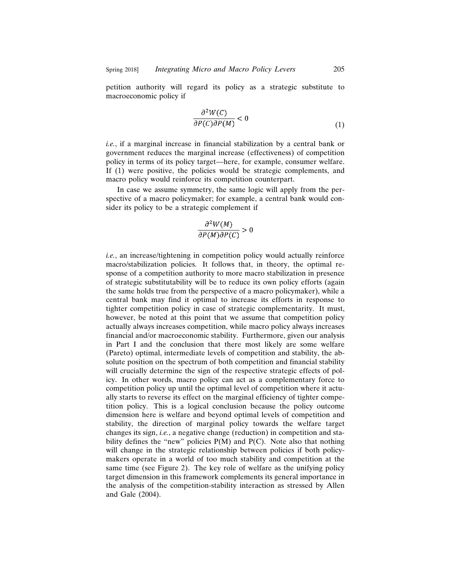petition authority will regard its policy as a strategic substitute to macroeconomic policy if

$$
\frac{\partial^2 W(C)}{\partial P(C)\partial P(M)} < 0\tag{1}
$$

*i.e.*, if a marginal increase in financial stabilization by a central bank or government reduces the marginal increase (effectiveness) of competition policy in terms of its policy target—here, for example, consumer welfare. If (1) were positive, the policies would be strategic complements, and macro policy would reinforce its competition counterpart.

In case we assume symmetry, the same logic will apply from the perspective of a macro policymaker; for example, a central bank would consider its policy to be a strategic complement if

$$
\frac{\partial^2 W(M)}{\partial P(M)\partial P(C)} > 0
$$

*i.e.*, an increase/tightening in competition policy would actually reinforce macro/stabilization policies. It follows that, in theory, the optimal response of a competition authority to more macro stabilization in presence of strategic substitutability will be to reduce its own policy efforts (again the same holds true from the perspective of a macro policymaker), while a central bank may find it optimal to increase its efforts in response to tighter competition policy in case of strategic complementarity. It must, however, be noted at this point that we assume that competition policy actually always increases competition, while macro policy always increases financial and/or macroeconomic stability. Furthermore, given our analysis in Part I and the conclusion that there most likely are some welfare (Pareto) optimal, intermediate levels of competition and stability, the absolute position on the spectrum of both competition and financial stability will crucially determine the sign of the respective strategic effects of policy. In other words, macro policy can act as a complementary force to competition policy up until the optimal level of competition where it actually starts to reverse its effect on the marginal efficiency of tighter competition policy. This is a logical conclusion because the policy outcome dimension here is welfare and beyond optimal levels of competition and stability, the direction of marginal policy towards the welfare target changes its sign, *i.e.*, a negative change (reduction) in competition and stability defines the "new" policies  $P(M)$  and  $P(C)$ . Note also that nothing will change in the strategic relationship between policies if both policymakers operate in a world of too much stability and competition at the same time (see Figure 2). The key role of welfare as the unifying policy target dimension in this framework complements its general importance in the analysis of the competition-stability interaction as stressed by Allen and Gale (2004).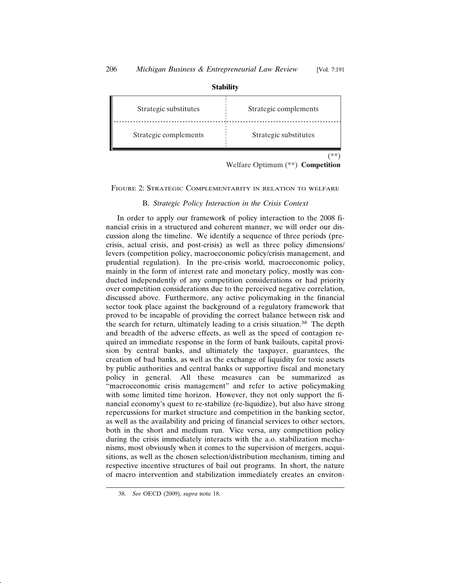| Strategic substitutes | Strategic complements |
|-----------------------|-----------------------|
| Strategic complements | Strategic substitutes |
|                       |                       |

**Stability**

Welfare Optimum (\*\*) **Competition**

FIGURE 2: STRATEGIC COMPLEMENTARITY IN RELATION TO WELFARE

## B. *Strategic Policy Interaction in the Crisis Context*

In order to apply our framework of policy interaction to the 2008 financial crisis in a structured and coherent manner, we will order our discussion along the timeline. We identify a sequence of three periods (precrisis, actual crisis, and post-crisis) as well as three policy dimensions/ levers (competition policy, macroeconomic policy/crisis management, and prudential regulation). In the pre-crisis world, macroeconomic policy, mainly in the form of interest rate and monetary policy, mostly was conducted independently of any competition considerations or had priority over competition considerations due to the perceived negative correlation, discussed above. Furthermore, any active policymaking in the financial sector took place against the background of a regulatory framework that proved to be incapable of providing the correct balance between risk and the search for return, ultimately leading to a crisis situation.38 The depth and breadth of the adverse effects, as well as the speed of contagion required an immediate response in the form of bank bailouts, capital provision by central banks, and ultimately the taxpayer, guarantees, the creation of bad banks, as well as the exchange of liquidity for toxic assets by public authorities and central banks or supportive fiscal and monetary policy in general. All these measures can be summarized as "macroeconomic crisis management" and refer to active policymaking with some limited time horizon. However, they not only support the financial economy's quest to re-stabilize (re-liquidize), but also have strong repercussions for market structure and competition in the banking sector, as well as the availability and pricing of financial services to other sectors, both in the short and medium run. Vice versa, any competition policy during the crisis immediately interacts with the a.o. stabilization mechanisms, most obviously when it comes to the supervision of mergers, acquisitions, as well as the chosen selection/distribution mechanism, timing and respective incentive structures of bail out programs. In short, the nature of macro intervention and stabilization immediately creates an environ-

<sup>38.</sup> *See* OECD (2009), *supra* note 18.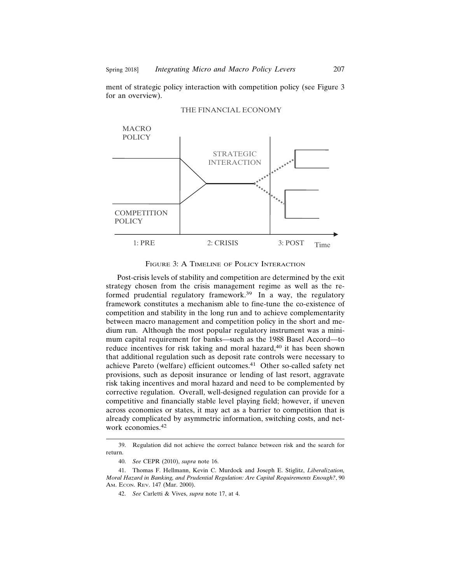ment of strategic policy interaction with competition policy (see Figure 3 for an overview).



#### THE FINANCIAL ECONOMY

FIGURE 3: A TIMELINE OF POLICY INTERACTION

Post-crisis levels of stability and competition are determined by the exit strategy chosen from the crisis management regime as well as the reformed prudential regulatory framework.<sup>39</sup> In a way, the regulatory framework constitutes a mechanism able to fine-tune the co-existence of competition and stability in the long run and to achieve complementarity between macro management and competition policy in the short and medium run. Although the most popular regulatory instrument was a minimum capital requirement for banks—such as the 1988 Basel Accord—to reduce incentives for risk taking and moral hazard,<sup>40</sup> it has been shown that additional regulation such as deposit rate controls were necessary to achieve Pareto (welfare) efficient outcomes.41 Other so-called safety net provisions, such as deposit insurance or lending of last resort, aggravate risk taking incentives and moral hazard and need to be complemented by corrective regulation. Overall, well-designed regulation can provide for a competitive and financially stable level playing field; however, if uneven across economies or states, it may act as a barrier to competition that is already complicated by asymmetric information, switching costs, and network economies.42

<sup>39.</sup> Regulation did not achieve the correct balance between risk and the search for return.

<sup>40.</sup> *See* CEPR (2010), *supra* note 16.

<sup>41.</sup> Thomas F. Hellmann, Kevin C. Murdock and Joseph E. Stiglitz, *Liberalization, Moral Hazard in Banking, and Prudential Regulation: Are Capital Requirements Enough?*, 90 AM. ECON. REV. 147 (Mar. 2000).

<sup>42.</sup> *See* Carletti & Vives, *supra* note 17, at 4.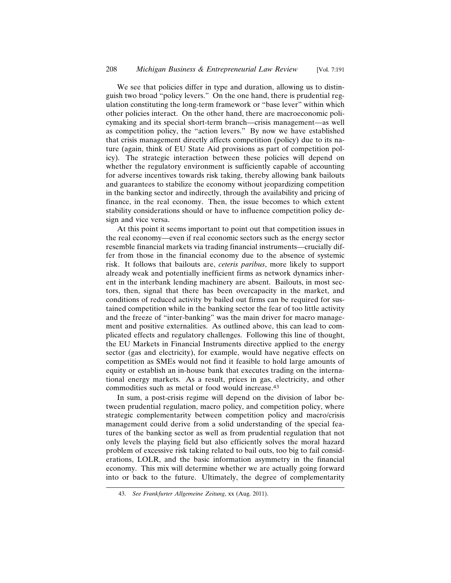We see that policies differ in type and duration, allowing us to distinguish two broad "policy levers." On the one hand, there is prudential regulation constituting the long-term framework or "base lever" within which other policies interact. On the other hand, there are macroeconomic policymaking and its special short-term branch—crisis management—as well as competition policy, the "action levers." By now we have established that crisis management directly affects competition (policy) due to its nature (again, think of EU State Aid provisions as part of competition policy). The strategic interaction between these policies will depend on whether the regulatory environment is sufficiently capable of accounting for adverse incentives towards risk taking, thereby allowing bank bailouts and guarantees to stabilize the economy without jeopardizing competition in the banking sector and indirectly, through the availability and pricing of finance, in the real economy. Then, the issue becomes to which extent stability considerations should or have to influence competition policy design and vice versa.

At this point it seems important to point out that competition issues in the real economy—even if real economic sectors such as the energy sector resemble financial markets via trading financial instruments—crucially differ from those in the financial economy due to the absence of systemic risk. It follows that bailouts are, *ceteris paribus*, more likely to support already weak and potentially inefficient firms as network dynamics inherent in the interbank lending machinery are absent. Bailouts, in most sectors, then, signal that there has been overcapacity in the market, and conditions of reduced activity by bailed out firms can be required for sustained competition while in the banking sector the fear of too little activity and the freeze of "inter-banking" was the main driver for macro management and positive externalities. As outlined above, this can lead to complicated effects and regulatory challenges. Following this line of thought, the EU Markets in Financial Instruments directive applied to the energy sector (gas and electricity), for example, would have negative effects on competition as SMEs would not find it feasible to hold large amounts of equity or establish an in-house bank that executes trading on the international energy markets. As a result, prices in gas, electricity, and other commodities such as metal or food would increase.43

In sum, a post-crisis regime will depend on the division of labor between prudential regulation, macro policy, and competition policy, where strategic complementarity between competition policy and macro/crisis management could derive from a solid understanding of the special features of the banking sector as well as from prudential regulation that not only levels the playing field but also efficiently solves the moral hazard problem of excessive risk taking related to bail outs, too big to fail considerations, LOLR, and the basic information asymmetry in the financial economy. This mix will determine whether we are actually going forward into or back to the future. Ultimately, the degree of complementarity

<sup>43.</sup> *See Frankfurter Allgemeine Zeitung*, xx (Aug. 2011).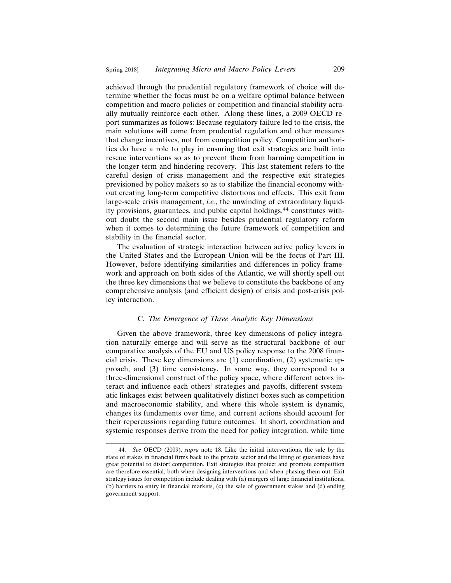achieved through the prudential regulatory framework of choice will determine whether the focus must be on a welfare optimal balance between competition and macro policies or competition and financial stability actually mutually reinforce each other. Along these lines, a 2009 OECD report summarizes as follows: Because regulatory failure led to the crisis, the main solutions will come from prudential regulation and other measures that change incentives, not from competition policy. Competition authorities do have a role to play in ensuring that exit strategies are built into rescue interventions so as to prevent them from harming competition in the longer term and hindering recovery. This last statement refers to the careful design of crisis management and the respective exit strategies previsioned by policy makers so as to stabilize the financial economy without creating long-term competitive distortions and effects. This exit from large-scale crisis management, *i.e.*, the unwinding of extraordinary liquidity provisions, guarantees, and public capital holdings,<sup>44</sup> constitutes without doubt the second main issue besides prudential regulatory reform when it comes to determining the future framework of competition and stability in the financial sector.

The evaluation of strategic interaction between active policy levers in the United States and the European Union will be the focus of Part III. However, before identifying similarities and differences in policy framework and approach on both sides of the Atlantic, we will shortly spell out the three key dimensions that we believe to constitute the backbone of any comprehensive analysis (and efficient design) of crisis and post-crisis policy interaction.

#### C. *The Emergence of Three Analytic Key Dimensions*

Given the above framework, three key dimensions of policy integration naturally emerge and will serve as the structural backbone of our comparative analysis of the EU and US policy response to the 2008 financial crisis. These key dimensions are (1) coordination, (2) systematic approach, and (3) time consistency. In some way, they correspond to a three-dimensional construct of the policy space, where different actors interact and influence each others' strategies and payoffs, different systematic linkages exist between qualitatively distinct boxes such as competition and macroeconomic stability, and where this whole system is dynamic, changes its fundaments over time, and current actions should account for their repercussions regarding future outcomes. In short, coordination and systemic responses derive from the need for policy integration, while time

<sup>44.</sup> *See* OECD (2009), *supra* note 18. Like the initial interventions, the sale by the state of stakes in financial firms back to the private sector and the lifting of guarantees have great potential to distort competition. Exit strategies that protect and promote competition are therefore essential, both when designing interventions and when phasing them out. Exit strategy issues for competition include dealing with (a) mergers of large financial institutions, (b) barriers to entry in financial markets, (c) the sale of government stakes and (d) ending government support.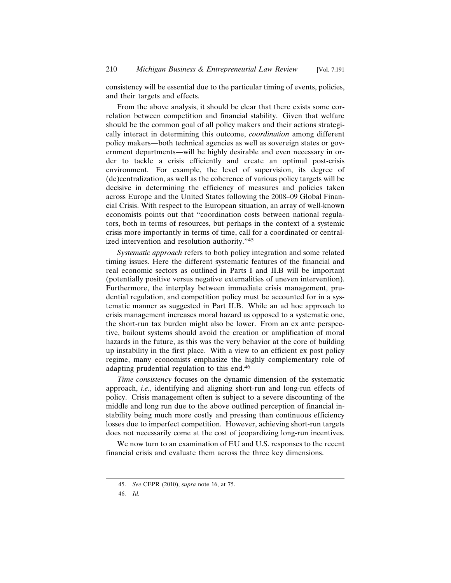consistency will be essential due to the particular timing of events, policies, and their targets and effects.

From the above analysis, it should be clear that there exists some correlation between competition and financial stability. Given that welfare should be the common goal of all policy makers and their actions strategically interact in determining this outcome, *coordination* among different policy makers—both technical agencies as well as sovereign states or government departments—will be highly desirable and even necessary in order to tackle a crisis efficiently and create an optimal post-crisis environment. For example, the level of supervision, its degree of (de)centralization, as well as the coherence of various policy targets will be decisive in determining the efficiency of measures and policies taken across Europe and the United States following the 2008–09 Global Financial Crisis. With respect to the European situation, an array of well-known economists points out that "coordination costs between national regulators, both in terms of resources, but perhaps in the context of a systemic crisis more importantly in terms of time, call for a coordinated or centralized intervention and resolution authority."45

*Systematic approach* refers to both policy integration and some related timing issues. Here the different systematic features of the financial and real economic sectors as outlined in Parts I and II.B will be important (potentially positive versus negative externalities of uneven intervention). Furthermore, the interplay between immediate crisis management, prudential regulation, and competition policy must be accounted for in a systematic manner as suggested in Part II.B. While an ad hoc approach to crisis management increases moral hazard as opposed to a systematic one, the short-run tax burden might also be lower. From an ex ante perspective, bailout systems should avoid the creation or amplification of moral hazards in the future, as this was the very behavior at the core of building up instability in the first place. With a view to an efficient ex post policy regime, many economists emphasize the highly complementary role of adapting prudential regulation to this end.46

*Time consistency* focuses on the dynamic dimension of the systematic approach, *i.e.*, identifying and aligning short-run and long-run effects of policy. Crisis management often is subject to a severe discounting of the middle and long run due to the above outlined perception of financial instability being much more costly and pressing than continuous efficiency losses due to imperfect competition. However, achieving short-run targets does not necessarily come at the cost of jeopardizing long-run incentives.

We now turn to an examination of EU and U.S. responses to the recent financial crisis and evaluate them across the three key dimensions.

<sup>45.</sup> *See* CEPR (2010), *supra* note 16, at 75.

<sup>46.</sup> *Id.*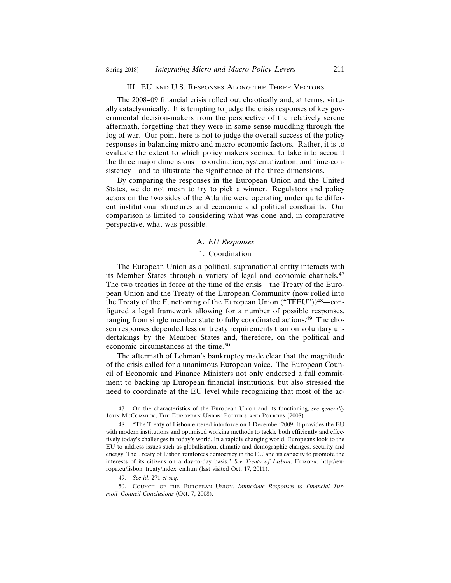#### III. EU AND U.S. RESPONSES ALONG THE THREE VECTORS

The 2008–09 financial crisis rolled out chaotically and, at terms, virtually cataclysmically. It is tempting to judge the crisis responses of key governmental decision-makers from the perspective of the relatively serene aftermath, forgetting that they were in some sense muddling through the fog of war. Our point here is not to judge the overall success of the policy responses in balancing micro and macro economic factors. Rather, it is to evaluate the extent to which policy makers seemed to take into account the three major dimensions—coordination, systematization, and time-consistency—and to illustrate the significance of the three dimensions.

By comparing the responses in the European Union and the United States, we do not mean to try to pick a winner. Regulators and policy actors on the two sides of the Atlantic were operating under quite different institutional structures and economic and political constraints. Our comparison is limited to considering what was done and, in comparative perspective, what was possible.

#### A. *EU Responses*

#### 1. Coordination

The European Union as a political, supranational entity interacts with its Member States through a variety of legal and economic channels.47 The two treaties in force at the time of the crisis—the Treaty of the European Union and the Treaty of the European Community (now rolled into the Treaty of the Functioning of the European Union ("TFEU"))<sup>48</sup>—configured a legal framework allowing for a number of possible responses, ranging from single member state to fully coordinated actions.49 The chosen responses depended less on treaty requirements than on voluntary undertakings by the Member States and, therefore, on the political and economic circumstances at the time.50

The aftermath of Lehman's bankruptcy made clear that the magnitude of the crisis called for a unanimous European voice. The European Council of Economic and Finance Ministers not only endorsed a full commitment to backing up European financial institutions, but also stressed the need to coordinate at the EU level while recognizing that most of the ac-

<sup>47.</sup> On the characteristics of the European Union and its functioning, *see generally* JOHN MCCORMICK, THE EUROPEAN UNION: POLITICS AND POLICIES (2008).

<sup>48. &</sup>quot;The Treaty of Lisbon entered into force on 1 December 2009. It provides the EU with modern institutions and optimised working methods to tackle both efficiently and effectively today's challenges in today's world. In a rapidly changing world, Europeans look to the EU to address issues such as globalisation, climatic and demographic changes, security and energy. The Treaty of Lisbon reinforces democracy in the EU and its capacity to promote the interests of its citizens on a day-to-day basis." *See Treaty of Lisbon,* EUROPA, http://europa.eu/lisbon\_treaty/index\_en.htm (last visited Oct. 17, 2011).

<sup>49.</sup> *See id*. 271 *et seq*.

<sup>50.</sup> COUNCIL OF THE EUROPEAN UNION, *Immediate Responses to Financial Turmoil–Council Conclusions* (Oct. 7, 2008).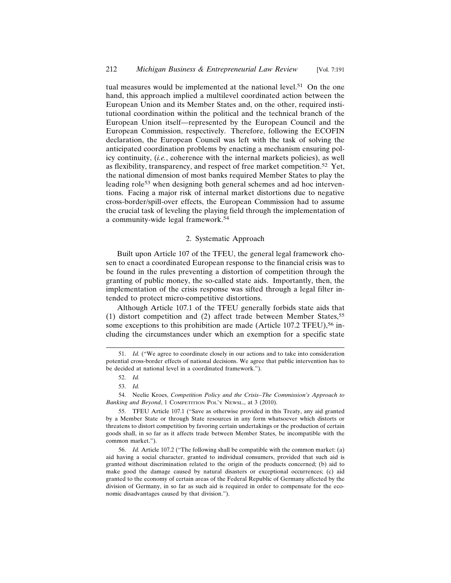tual measures would be implemented at the national level.<sup>51</sup> On the one hand, this approach implied a multilevel coordinated action between the European Union and its Member States and, on the other, required institutional coordination within the political and the technical branch of the European Union itself—represented by the European Council and the European Commission, respectively. Therefore, following the ECOFIN declaration, the European Council was left with the task of solving the anticipated coordination problems by enacting a mechanism ensuring policy continuity, (*i.e.*, coherence with the internal markets policies), as well as flexibility, transparency, and respect of free market competition.52 Yet, the national dimension of most banks required Member States to play the leading role<sup>53</sup> when designing both general schemes and ad hoc interventions. Facing a major risk of internal market distortions due to negative cross-border/spill-over effects, the European Commission had to assume the crucial task of leveling the playing field through the implementation of a community-wide legal framework.54

## 2. Systematic Approach

Built upon Article 107 of the TFEU, the general legal framework chosen to enact a coordinated European response to the financial crisis was to be found in the rules preventing a distortion of competition through the granting of public money, the so-called state aids. Importantly, then, the implementation of the crisis response was sifted through a legal filter intended to protect micro-competitive distortions.

Although Article 107.1 of the TFEU generally forbids state aids that (1) distort competition and (2) affect trade between Member States,55 some exceptions to this prohibition are made (Article 107.2 TFEU),<sup>56</sup> including the circumstances under which an exemption for a specific state

<sup>51.</sup> *Id.* ("We agree to coordinate closely in our actions and to take into consideration potential cross-border effects of national decisions. We agree that public intervention has to be decided at national level in a coordinated framework.").

<sup>52.</sup> *Id.*

<sup>53.</sup> *Id.*

<sup>54.</sup> Neelie Kroes, *Competition Policy and the Crisis–The Commission's Approach to Banking and Beyond*, 1 COMPETITION POL'Y NEWSL., at 3 (2010).

<sup>55.</sup> TFEU Article 107.1 ("Save as otherwise provided in this Treaty, any aid granted by a Member State or through State resources in any form whatsoever which distorts or threatens to distort competition by favoring certain undertakings or the production of certain goods shall, in so far as it affects trade between Member States, be incompatible with the common market.").

<sup>56.</sup> *Id.* Article 107.2 ("The following shall be compatible with the common market: (a) aid having a social character, granted to individual consumers, provided that such aid is granted without discrimination related to the origin of the products concerned; (b) aid to make good the damage caused by natural disasters or exceptional occurrences; (c) aid granted to the economy of certain areas of the Federal Republic of Germany affected by the division of Germany, in so far as such aid is required in order to compensate for the economic disadvantages caused by that division.").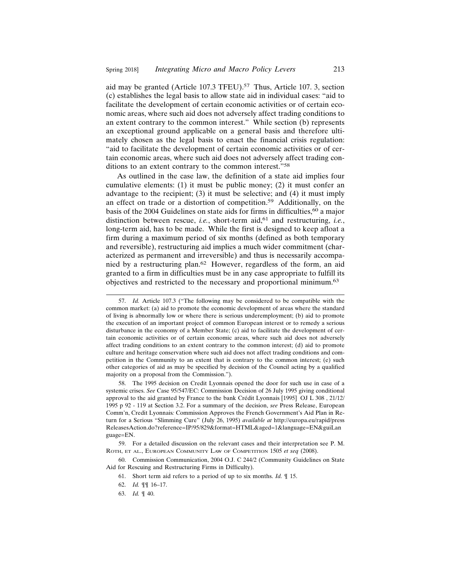aid may be granted (Article 107.3 TFEU).57 Thus, Article 107. 3, section (c) establishes the legal basis to allow state aid in individual cases: "aid to facilitate the development of certain economic activities or of certain economic areas, where such aid does not adversely affect trading conditions to an extent contrary to the common interest." While section (b) represents an exceptional ground applicable on a general basis and therefore ultimately chosen as the legal basis to enact the financial crisis regulation: "aid to facilitate the development of certain economic activities or of certain economic areas, where such aid does not adversely affect trading conditions to an extent contrary to the common interest."58

As outlined in the case law, the definition of a state aid implies four cumulative elements: (1) it must be public money; (2) it must confer an advantage to the recipient; (3) it must be selective; and (4) it must imply an effect on trade or a distortion of competition.59 Additionally, on the basis of the 2004 Guidelines on state aids for firms in difficulties,  $60$  a major distinction between rescue, *i.e.*, short-term aid,<sup>61</sup> and restructuring, *i.e.*, long-term aid, has to be made. While the first is designed to keep afloat a firm during a maximum period of six months (defined as both temporary and reversible), restructuring aid implies a much wider commitment (characterized as permanent and irreversible) and thus is necessarily accompanied by a restructuring plan.62 However, regardless of the form, an aid granted to a firm in difficulties must be in any case appropriate to fulfill its objectives and restricted to the necessary and proportional minimum.63

<sup>57.</sup> *Id.* Article 107.3 ("The following may be considered to be compatible with the common market: (a) aid to promote the economic development of areas where the standard of living is abnormally low or where there is serious underemployment; (b) aid to promote the execution of an important project of common European interest or to remedy a serious disturbance in the economy of a Member State; (c) aid to facilitate the development of certain economic activities or of certain economic areas, where such aid does not adversely affect trading conditions to an extent contrary to the common interest; (d) aid to promote culture and heritage conservation where such aid does not affect trading conditions and competition in the Community to an extent that is contrary to the common interest; (e) such other categories of aid as may be specified by decision of the Council acting by a qualified majority on a proposal from the Commission.").

<sup>58.</sup> The 1995 decision on Credit Lyonnais opened the door for such use in case of a systemic crises. *See* Case 95/547/EC: Commission Decision of 26 July 1995 giving conditional approval to the aid granted by France to the bank Crédit Lyonnais  $[1995]$  OJ L 308, 21/12/ 1995 p 92 - 119 at Section 3.2. For a summary of the decision, *see* Press Release, European Comm'n, Credit Lyonnais*:* Commission Approves the French Government's Aid Plan in Return for a Serious "Slimming Cure" (July 26, 1995) *available at* http://europa.eu/rapid/press ReleasesAction.do?reference=IP/95/829&format=HTML&aged=1&language=EN&guiLan guage=EN.

<sup>59.</sup> For a detailed discussion on the relevant cases and their interpretation see P. M. ROTH, ET AL., EUROPEAN COMMUNITY LAW OF COMPETITION 1505 *et seq* (2008).

<sup>60.</sup> Commission Communication, 2004 O.J. C 244/2 (Community Guidelines on State Aid for Rescuing and Restructuring Firms in Difficulty).

<sup>61.</sup> Short term aid refers to a period of up to six months. *Id.* ¶ 15.

<sup>62.</sup> *Id.* ¶¶ 16–17.

<sup>63.</sup> *Id.* ¶ 40.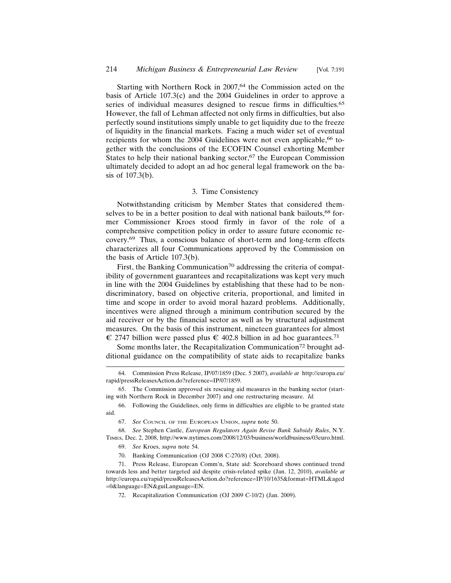Starting with Northern Rock in 2007,<sup>64</sup> the Commission acted on the basis of Article 107.3(c) and the 2004 Guidelines in order to approve a series of individual measures designed to rescue firms in difficulties.65 However, the fall of Lehman affected not only firms in difficulties, but also perfectly sound institutions simply unable to get liquidity due to the freeze of liquidity in the financial markets. Facing a much wider set of eventual recipients for whom the 2004 Guidelines were not even applicable,<sup>66</sup> together with the conclusions of the ECOFIN Counsel exhorting Member States to help their national banking sector, $67$  the European Commission ultimately decided to adopt an ad hoc general legal framework on the basis of 107.3(b).

#### 3. Time Consistency

Notwithstanding criticism by Member States that considered themselves to be in a better position to deal with national bank bailouts,<sup>68</sup> former Commissioner Kroes stood firmly in favor of the role of a comprehensive competition policy in order to assure future economic recovery.69 Thus, a conscious balance of short-term and long-term effects characterizes all four Communications approved by the Commission on the basis of Article 107.3(b).

First, the Banking Communication<sup>70</sup> addressing the criteria of compatibility of government guarantees and recapitalizations was kept very much in line with the 2004 Guidelines by establishing that these had to be nondiscriminatory, based on objective criteria, proportional, and limited in time and scope in order to avoid moral hazard problems. Additionally, incentives were aligned through a minimum contribution secured by the aid receiver or by the financial sector as well as by structural adjustment measures. On the basis of this instrument, nineteen guarantees for almost  $\epsilon$  2747 billion were passed plus  $\epsilon$  402.8 billion in ad hoc guarantees.<sup>71</sup>

Some months later, the Recapitalization Communication<sup>72</sup> brought additional guidance on the compatibility of state aids to recapitalize banks

69. *See* Kroes, *supra* note 54.

<sup>64.</sup> Commission Press Release, IP/07/1859 (Dec. 5 2007), *available at* http://europa.eu/ rapid/pressReleasesAction.do?reference=IP/07/1859.

<sup>65.</sup> The Commission approved six rescuing aid measures in the banking sector (starting with Northern Rock in December 2007) and one restructuring measure. *Id.*

<sup>66.</sup> Following the Guidelines, only firms in difficulties are eligible to be granted state aid.

<sup>67.</sup> *See* COUNCIL OF THE EUROPEAN UNION, *supra* note 50.

<sup>68.</sup> *See* Stephen Castle, *European Regulators Again Revise Bank Subsidy Rules*, N.Y. TIMES, Dec. 2, 2008, http://www.nytimes.com/2008/12/03/business/worldbusiness/03euro.html.

<sup>70.</sup> Banking Communication (OJ 2008 C-270/8) (Oct. 2008).

<sup>71.</sup> Press Release, European Comm'n, State aid: Scoreboard shows continued trend towards less and better targeted aid despite crisis-related spike (Jan. 12, 2010), *available at* http://europa.eu/rapid/pressReleasesAction.do?reference=IP/10/1635&format=HTML&aged =0&language=EN&guiLanguage=EN.

<sup>72.</sup> Recapitalization Communication (OJ 2009 C-10/2) (Jan. 2009).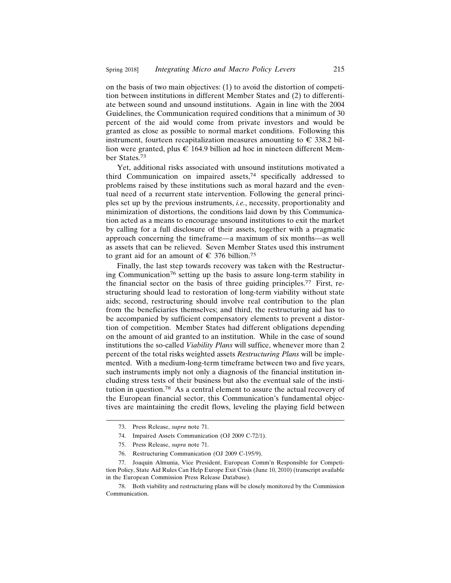on the basis of two main objectives: (1) to avoid the distortion of competition between institutions in different Member States and (2) to differentiate between sound and unsound institutions. Again in line with the 2004 Guidelines, the Communication required conditions that a minimum of 30 percent of the aid would come from private investors and would be granted as close as possible to normal market conditions. Following this instrument, fourteen recapitalization measures amounting to  $\in$  338.2 billion were granted, plus  $\epsilon$  164.9 billion ad hoc in nineteen different Member States.73

Yet, additional risks associated with unsound institutions motivated a third Communication on impaired assets,74 specifically addressed to problems raised by these institutions such as moral hazard and the eventual need of a recurrent state intervention. Following the general principles set up by the previous instruments, *i.e.*, necessity, proportionality and minimization of distortions, the conditions laid down by this Communication acted as a means to encourage unsound institutions to exit the market by calling for a full disclosure of their assets, together with a pragmatic approach concerning the timeframe—a maximum of six months—as well as assets that can be relieved. Seven Member States used this instrument to grant aid for an amount of  $\in$  376 billion.<sup>75</sup>

Finally, the last step towards recovery was taken with the Restructuring Communication76 setting up the basis to assure long-term stability in the financial sector on the basis of three guiding principles.77 First, restructuring should lead to restoration of long-term viability without state aids; second, restructuring should involve real contribution to the plan from the beneficiaries themselves; and third, the restructuring aid has to be accompanied by sufficient compensatory elements to prevent a distortion of competition. Member States had different obligations depending on the amount of aid granted to an institution. While in the case of sound institutions the so-called *Viability Plans* will suffice, whenever more than 2 percent of the total risks weighted assets *Restructuring Plans* will be implemented. With a medium-long-term timeframe between two and five years, such instruments imply not only a diagnosis of the financial institution including stress tests of their business but also the eventual sale of the institution in question.78 As a central element to assure the actual recovery of the European financial sector, this Communication's fundamental objectives are maintaining the credit flows, leveling the playing field between

<sup>73.</sup> Press Release, *supra* note 71.

<sup>74.</sup> Impaired Assets Communication (OJ 2009 C-72/1).

<sup>75.</sup> Press Release, *supra* note 71.

<sup>76.</sup> Restructuring Communication (OJ 2009 C-195/9).

<sup>77.</sup> Joaquin Almunia, Vice President, European Comm'n Responsible for Competition Policy, State Aid Rules Can Help Europe Exit Crisis (June 10, 2010) (transcript available in the European Commission Press Release Database).

<sup>78.</sup> Both viability and restructuring plans will be closely monitored by the Commission Communication.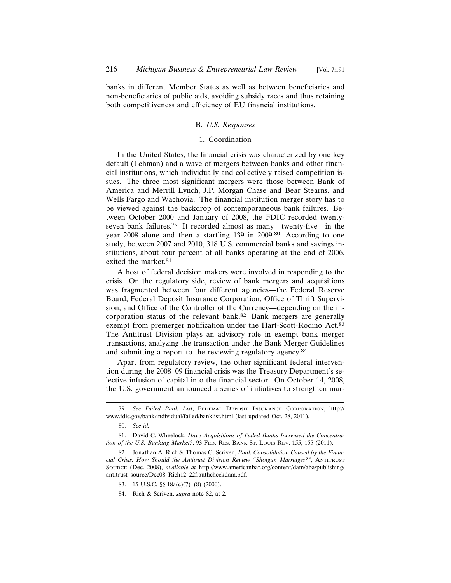banks in different Member States as well as between beneficiaries and non-beneficiaries of public aids, avoiding subsidy races and thus retaining both competitiveness and efficiency of EU financial institutions.

#### B. *U.S. Responses*

#### 1. Coordination

In the United States, the financial crisis was characterized by one key default (Lehman) and a wave of mergers between banks and other financial institutions, which individually and collectively raised competition issues. The three most significant mergers were those between Bank of America and Merrill Lynch, J.P. Morgan Chase and Bear Stearns, and Wells Fargo and Wachovia. The financial institution merger story has to be viewed against the backdrop of contemporaneous bank failures. Between October 2000 and January of 2008, the FDIC recorded twentyseven bank failures.79 It recorded almost as many—twenty-five—in the year 2008 alone and then a startling 139 in 2009.80 According to one study, between 2007 and 2010, 318 U.S. commercial banks and savings institutions, about four percent of all banks operating at the end of 2006, exited the market.<sup>81</sup>

A host of federal decision makers were involved in responding to the crisis. On the regulatory side, review of bank mergers and acquisitions was fragmented between four different agencies—the Federal Reserve Board, Federal Deposit Insurance Corporation, Office of Thrift Supervision, and Office of the Controller of the Currency—depending on the incorporation status of the relevant bank.82 Bank mergers are generally exempt from premerger notification under the Hart-Scott-Rodino Act.<sup>83</sup> The Antitrust Division plays an advisory role in exempt bank merger transactions, analyzing the transaction under the Bank Merger Guidelines and submitting a report to the reviewing regulatory agency.84

Apart from regulatory review, the other significant federal intervention during the 2008–09 financial crisis was the Treasury Department's selective infusion of capital into the financial sector. On October 14, 2008, the U.S. government announced a series of initiatives to strengthen mar-

<sup>79.</sup> *See Failed Bank List*, FEDERAL DEPOSIT INSURANCE CORPORATION, http:// www.fdic.gov/bank/individual/failed/banklist.html (last updated Oct. 28, 2011).

<sup>80.</sup> *See id.*

<sup>81.</sup> David C. Wheelock, *Have Acquisitions of Failed Banks Increased the Concentration of the U.S. Banking Market?*, 93 FED. RES. BANK ST. LOUIS REV. 155, 155 (2011).

<sup>82.</sup> Jonathan A. Rich & Thomas G. Scriven, *Bank Consolidation Caused by the Financial Crisis: How Should the Antitrust Division Review "Shotgun Marriages?"*, ANTITRUST SOURCE (Dec. 2008), *available at* http://www.americanbar.org/content/dam/aba/publishing/ antitrust\_source/Dec08\_Rich12\_22f.authcheckdam.pdf.

<sup>83. 15</sup> U.S.C. §§ 18a(c)(7)–(8) (2000).

<sup>84.</sup> Rich & Scriven, *supra* note 82, at 2.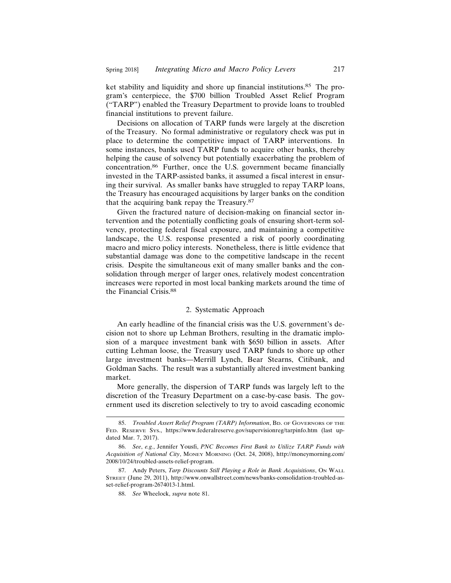ket stability and liquidity and shore up financial institutions.<sup>85</sup> The program's centerpiece, the \$700 billion Troubled Asset Relief Program ("TARP") enabled the Treasury Department to provide loans to troubled financial institutions to prevent failure.

Decisions on allocation of TARP funds were largely at the discretion of the Treasury. No formal administrative or regulatory check was put in place to determine the competitive impact of TARP interventions. In some instances, banks used TARP funds to acquire other banks, thereby helping the cause of solvency but potentially exacerbating the problem of concentration.86 Further, once the U.S. government became financially invested in the TARP-assisted banks, it assumed a fiscal interest in ensuring their survival. As smaller banks have struggled to repay TARP loans, the Treasury has encouraged acquisitions by larger banks on the condition that the acquiring bank repay the Treasury.87

Given the fractured nature of decision-making on financial sector intervention and the potentially conflicting goals of ensuring short-term solvency, protecting federal fiscal exposure, and maintaining a competitive landscape, the U.S. response presented a risk of poorly coordinating macro and micro policy interests. Nonetheless, there is little evidence that substantial damage was done to the competitive landscape in the recent crisis. Despite the simultaneous exit of many smaller banks and the consolidation through merger of larger ones, relatively modest concentration increases were reported in most local banking markets around the time of the Financial Crisis.88

#### 2. Systematic Approach

An early headline of the financial crisis was the U.S. government's decision not to shore up Lehman Brothers, resulting in the dramatic implosion of a marquee investment bank with \$650 billion in assets. After cutting Lehman loose, the Treasury used TARP funds to shore up other large investment banks—Merrill Lynch, Bear Stearns, Citibank, and Goldman Sachs. The result was a substantially altered investment banking market.

More generally, the dispersion of TARP funds was largely left to the discretion of the Treasury Department on a case-by-case basis. The government used its discretion selectively to try to avoid cascading economic

<sup>85.</sup> *Troubled Assert Relief Program (TARP) Information*, BD. OF GOVERNORS OF THE FED. RESERVE SYS., https://www.federalreserve.gov/supervisionreg/tarpinfo.htm (last updated Mar. 7, 2017).

<sup>86.</sup> *See*, *e.g.*, Jennifer Yousfi, *PNC Becomes First Bank to Utilize TARP Funds with Acquisition of National City*, MONEY MORNING (Oct. 24, 2008), http://moneymorning.com/ 2008/10/24/troubled-assets-relief-program.

<sup>87.</sup> Andy Peters, *Tarp Discounts Still Playing a Role in Bank Acquisitions*, ON WALL STREET (June 29, 2011), http://www.onwallstreet.com/news/banks-consolidation-troubled-asset-relief-program-2674013-1.html.

<sup>88.</sup> *See* Wheelock, *supra* note 81.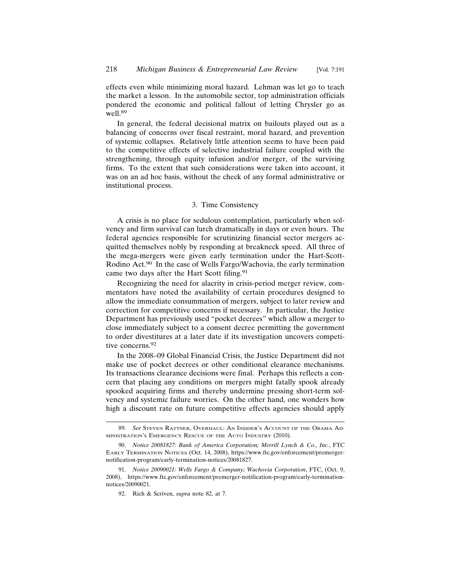effects even while minimizing moral hazard. Lehman was let go to teach the market a lesson. In the automobile sector, top administration officials pondered the economic and political fallout of letting Chrysler go as well.<sup>89</sup>

In general, the federal decisional matrix on bailouts played out as a balancing of concerns over fiscal restraint, moral hazard, and prevention of systemic collapses. Relatively little attention seems to have been paid to the competitive effects of selective industrial failure coupled with the strengthening, through equity infusion and/or merger, of the surviving firms. To the extent that such considerations were taken into account, it was on an ad hoc basis, without the check of any formal administrative or institutional process.

#### 3. Time Consistency

A crisis is no place for sedulous contemplation, particularly when solvency and firm survival can lurch dramatically in days or even hours. The federal agencies responsible for scrutinizing financial sector mergers acquitted themselves nobly by responding at breakneck speed. All three of the mega-mergers were given early termination under the Hart-Scott-Rodino Act.90 In the case of Wells Fargo/Wachovia, the early termination came two days after the Hart Scott filing.<sup>91</sup>

Recognizing the need for alacrity in crisis-period merger review, commentators have noted the availability of certain procedures designed to allow the immediate consummation of mergers, subject to later review and correction for competitive concerns if necessary. In particular, the Justice Department has previously used "pocket decrees" which allow a merger to close immediately subject to a consent decree permitting the government to order divestitures at a later date if its investigation uncovers competitive concerns.<sup>92</sup>

In the 2008–09 Global Financial Crisis, the Justice Department did not make use of pocket decrees or other conditional clearance mechanisms. Its transactions clearance decisions were final. Perhaps this reflects a concern that placing any conditions on mergers might fatally spook already spooked acquiring firms and thereby undermine pressing short-term solvency and systemic failure worries. On the other hand, one wonders how high a discount rate on future competitive effects agencies should apply

<sup>89.</sup> *See* STEVEN RATTNER, OVERHAUL: AN INSIDER'S ACCOUNT OF THE OBAMA AD-MINISTRATION'S EMERGENCY RESCUE OF THE AUTO INDUSTRY (2010).

<sup>90.</sup> *Notice 20081827: Bank of America Corporation; Merrill Lynch & Co., Inc.*, FTC EARLY TERMINATION NOTICES (Oct. 14, 2008), https://www.ftc.gov/enforcement/premergernotification-program/early-termination-notices/20081827.

<sup>91.</sup> *Notice 20090021: Wells Fargo & Company; Wachovia Corporation*, FTC, (Oct. 9, 2008), https://www.ftc.gov/enforcement/premerger-notification-program/early-terminationnotices/20090021.

<sup>92.</sup> Rich & Scriven, *supra* note 82, at 7.